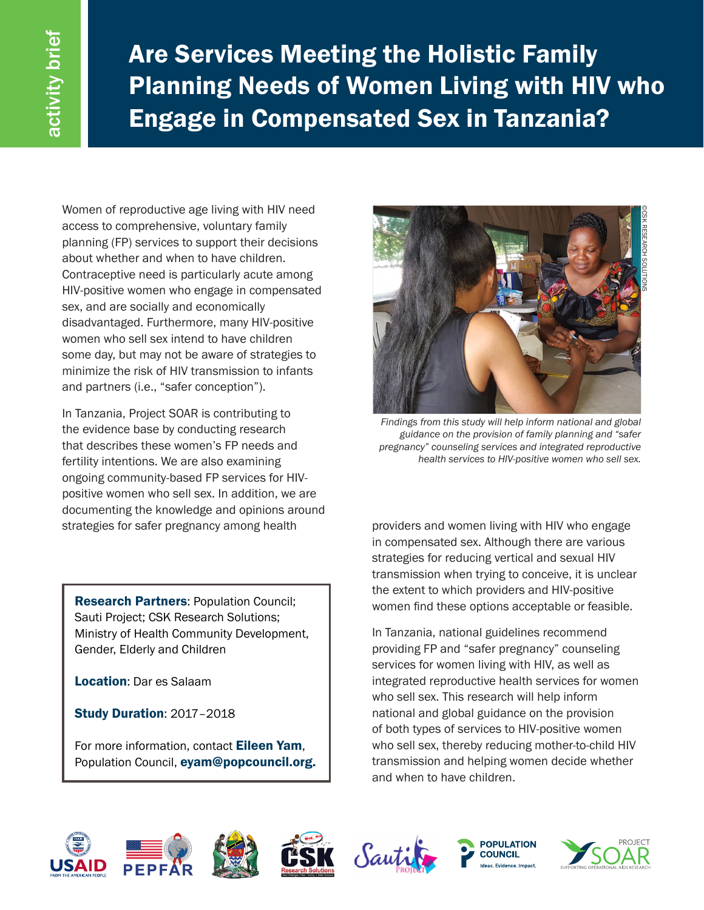Are Services Meeting the Holistic Family Planning Needs of Women Living with HIV who Engage in Compensated Sex in Tanzania?

Women of reproductive age living with HIV need access to comprehensive, voluntary family planning (FP) services to support their decisions about whether and when to have children. Contraceptive need is particularly acute among HIV-positive women who engage in compensated sex, and are socially and economically disadvantaged. Furthermore, many HIV-positive women who sell sex intend to have children some day, but may not be aware of strategies to minimize the risk of HIV transmission to infants and partners (i.e., "safer conception").

In Tanzania, Project SOAR is contributing to the evidence base by conducting research that describes these women's FP needs and fertility intentions. We are also examining ongoing community-based FP services for HIVpositive women who sell sex. In addition, we are documenting the knowledge and opinions around strategies for safer pregnancy among health providers and women living with HIV who engage

**Research Partners: Population Council;** Sauti Project; CSK Research Solutions; Ministry of Health Community Development, Gender, Elderly and Children

Location: Dar es Salaam

Study Duration: 2017–2018

For more information, contact Eileen Yam, Population Council, eyam@popcouncil.org.



*Findings from this study will help inform national and global guidance on the provision of family planning and "safer pregnancy" counseling services and integrated reproductive health services to HIV-positive women who sell sex.*

in compensated sex. Although there are various strategies for reducing vertical and sexual HIV transmission when trying to conceive, it is unclear the extent to which providers and HIV-positive women find these options acceptable or feasible.

In Tanzania, national guidelines recommend providing FP and "safer pregnancy" counseling services for women living with HIV, as well as integrated reproductive health services for women who sell sex. This research will help inform national and global guidance on the provision of both types of services to HIV-positive women who sell sex, thereby reducing mother-to-child HIV transmission and helping women decide whether and when to have children.